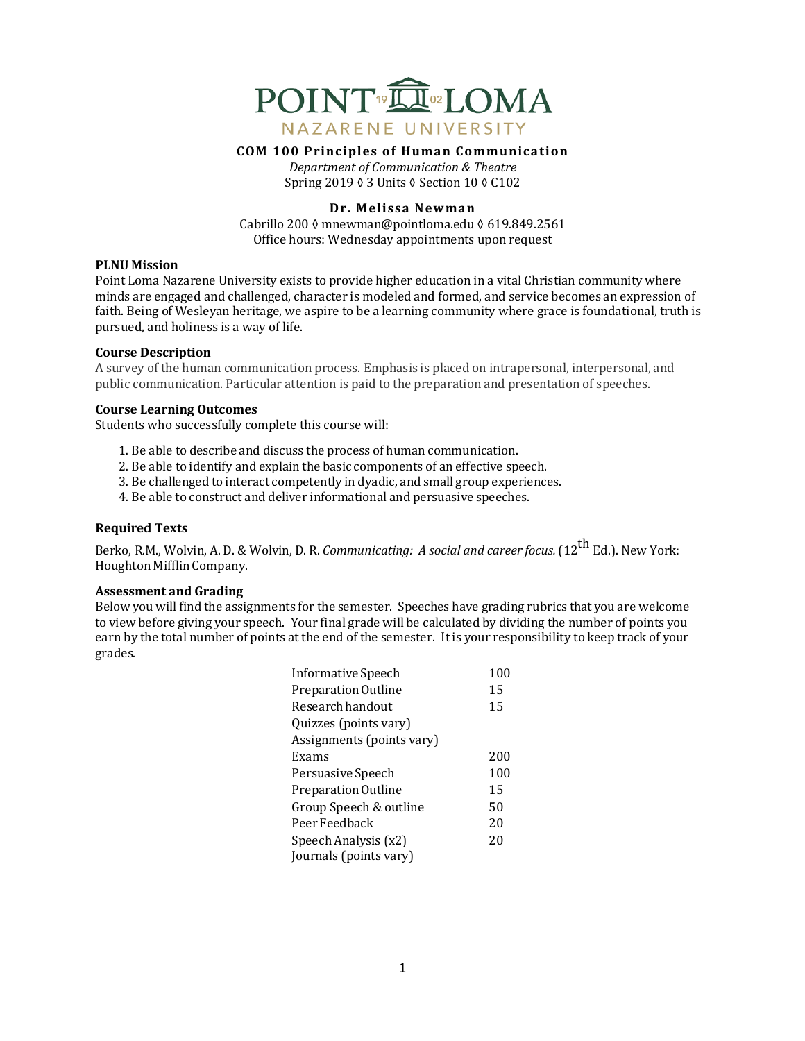

**COM 100 Principles of Human Communication**

*Department of Communication & Theatre* Spring 2019 ♦ 3 Units ♦ Section 10 ♦ C102

## **Dr. Melissa Newman**

Cabrillo 200 ◊ mnewman@pointloma.edu ◊ 619.849.2561 Office hours: Wednesday appointments upon request

## **PLNU Mission**

Point Loma Nazarene University exists to provide higher education in a vital Christian community where minds are engaged and challenged, character is modeled and formed, and service becomes an expression of faith. Being of Wesleyan heritage, we aspire to be a learning community where grace is foundational, truth is pursued, and holiness is a way of life.

## **Course Description**

A survey of the human communication process. Emphasis is placed on intrapersonal, interpersonal, and public communication. Particular attention is paid to the preparation and presentation of speeches.

## **Course Learning Outcomes**

Students who successfully complete this course will:

- 1. Be able to describe and discuss the process of human communication.
- 2. Be able to identify and explain the basic components of an effective speech.
- 3. Be challenged to interact competently in dyadic, and small group experiences.
- 4. Be able to construct and deliver informational and persuasive speeches.

# **Required Texts**

Berko, R.M., Wolvin, A. D. & Wolvin, D. R. *Communicating: A social and career focus.* (12<sup>th</sup> Ed.). New York: Houghton MifflinCompany.

## **Assessment and Grading**

Below you will find the assignments for the semester. Speeches have grading rubrics that you are welcome to view before giving your speech. Your final grade will be calculated by dividing the number of points you earn by the total number of points at the end of the semester. Itis your responsibility to keep track of your grades.

| Informative Speech        | 100 |
|---------------------------|-----|
| Preparation Outline       | 15  |
| Research handout          | 15  |
| Quizzes (points vary)     |     |
| Assignments (points vary) |     |
| Exams                     | 200 |
| Persuasive Speech         | 100 |
| Preparation Outline       | 15  |
| Group Speech & outline    | 50  |
| Peer Feedback             | 20  |
| Speech Analysis (x2)      | 20  |
| Journals (points vary)    |     |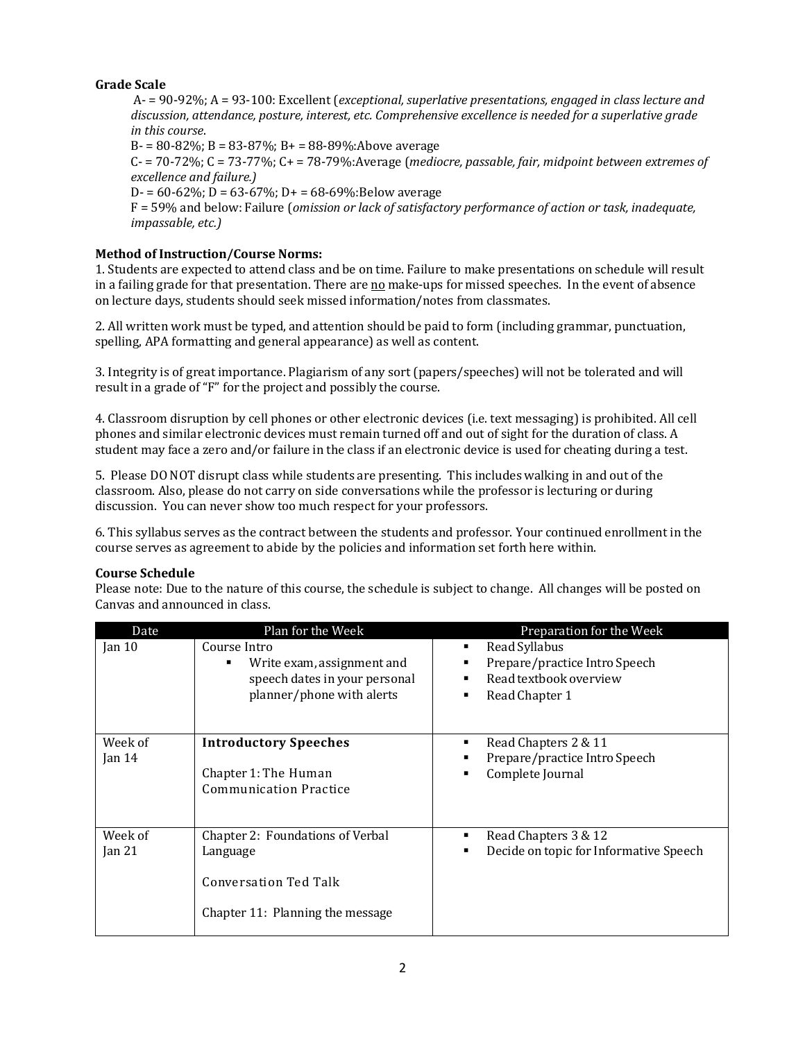# **Grade Scale**

A- = 90-92%; A = 93-100: Excellent (*exceptional, superlative presentations, engaged in class lecture and* discussion, attendance, posture, interest, etc. Comprehensive excellence is needed for a superlative grade *in this course*.

 $B = 80 - 82\%$ ;  $B = 83 - 87\%$ ;  $B = 88 - 89\%$ :Above average

 $C - 70-72\%$ ;  $C = 73-77\%$ ;  $C + 73-79\%$ : Average (*mediocre, passable, fair, midpoint between extremes of excellence and failure.)*

D- =  $60-62\%$ ; D =  $63-67\%$ ; D+ =  $68-69\%$ :Below average

F = 59% and below: Failure (*omission or lack of satisfactory performance of action or task, inadequate, impassable, etc.)*

# **Method of Instruction/Course Norms:**

1. Students are expected to attend class and be on time. Failure to make presentations on schedule will result in a failing grade for that presentation. There are no make-ups for missed speeches. In the event of absence on lecture days, students should seek missed information/notes from classmates.

2. All written work must be typed, and attention should be paid to form (including grammar, punctuation, spelling, APA formatting and general appearance) as well as content.

3. Integrity is of great importance. Plagiarism of any sort (papers/speeches) will not be tolerated and will result in a grade of "F" for the project and possibly the course.

4. Classroom disruption by cell phones or other electronic devices (i.e. text messaging) is prohibited. All cell phones and similar electronic devices must remain turned off and out of sight for the duration of class. A student may face a zero and/or failure in the class if an electronic device is used for cheating during a test.

5. Please DO NOT disrupt class while students are presenting. This includes walking in and out of the classroom. Also, please do not carry on side conversations while the professor is lecturing or during discussion. You can never show too much respect for your professors.

6. This syllabus serves as the contract between the students and professor. Your continued enrollment in the course serves as agreement to abide by the policies and information set forth here within.

# **Course Schedule**

Please note: Due to the nature of this course, the schedule is subject to change. All changes will be posted on Canvas and announced in class.

| Date                | Plan for the Week                                                                                         | Preparation for the Week                                                                   |
|---------------------|-----------------------------------------------------------------------------------------------------------|--------------------------------------------------------------------------------------------|
| Jan $10$            | Course Intro<br>Write exam, assignment and<br>speech dates in your personal<br>planner/phone with alerts  | Read Syllabus<br>Prepare/practice Intro Speech<br>Read textbook overview<br>Read Chapter 1 |
| Week of<br>Jan $14$ | <b>Introductory Speeches</b><br>Chapter 1: The Human<br><b>Communication Practice</b>                     | Read Chapters 2 & 11<br>Prepare/practice Intro Speech<br>Complete Journal                  |
| Week of<br>Jan 21   | Chapter 2: Foundations of Verbal<br>Language<br>Conversation Ted Talk<br>Chapter 11: Planning the message | Read Chapters 3 & 12<br>Decide on topic for Informative Speech                             |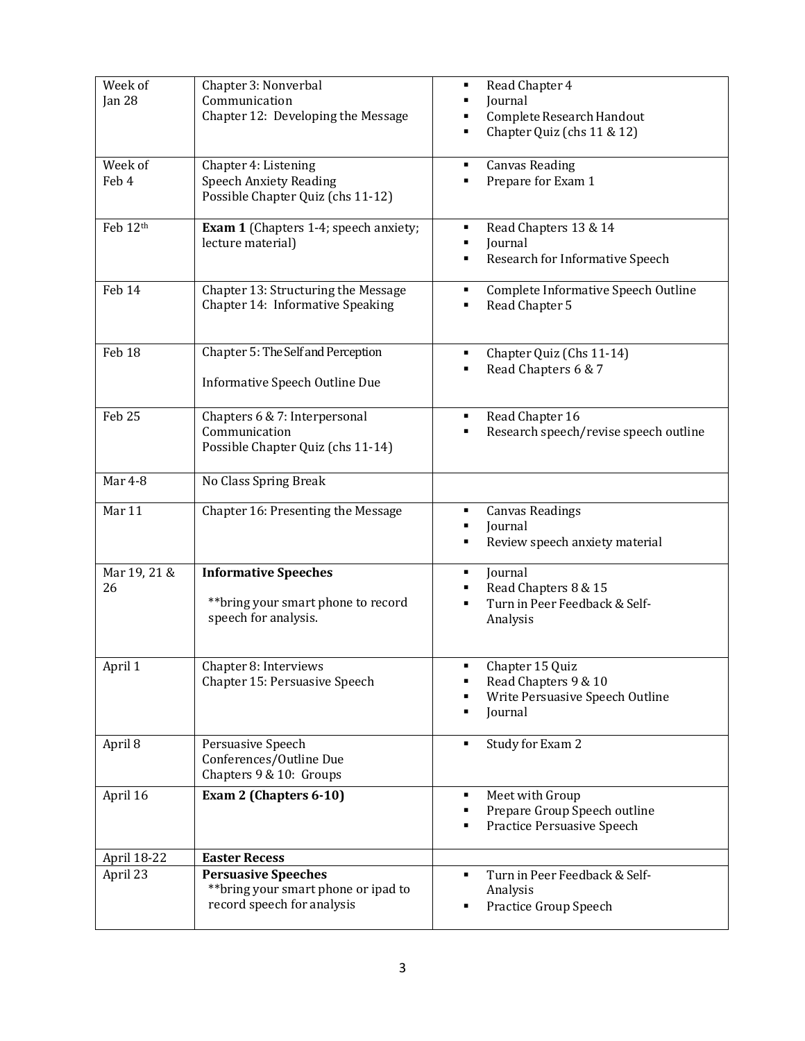| Week of<br>Jan 28  | Chapter 3: Nonverbal<br>Communication<br>Chapter 12: Developing the Message                      | Read Chapter 4<br>٠<br>Journal<br>Complete Research Handout<br>Chapter Quiz (chs 11 & 12)<br>٠ |
|--------------------|--------------------------------------------------------------------------------------------------|------------------------------------------------------------------------------------------------|
| Week of<br>Feb 4   | Chapter 4: Listening<br><b>Speech Anxiety Reading</b><br>Possible Chapter Quiz (chs 11-12)       | <b>Canvas Reading</b><br>Prepare for Exam 1                                                    |
| Feb 12th           | <b>Exam 1</b> (Chapters 1-4; speech anxiety;<br>lecture material)                                | Read Chapters 13 & 14<br>٠<br>Journal<br>٠<br>Research for Informative Speech<br>٠             |
| Feb 14             | Chapter 13: Structuring the Message<br>Chapter 14: Informative Speaking                          | Complete Informative Speech Outline<br>٠<br>Read Chapter 5                                     |
| Feb <sub>18</sub>  | Chapter 5: The Self and Perception<br>Informative Speech Outline Due                             | Chapter Quiz (Chs 11-14)<br>٠<br>Read Chapters 6 & 7                                           |
| Feb 25             | Chapters 6 & 7: Interpersonal<br>Communication<br>Possible Chapter Quiz (chs 11-14)              | Read Chapter 16<br>٠<br>Research speech/revise speech outline                                  |
| Mar 4-8            | No Class Spring Break                                                                            |                                                                                                |
| Mar 11             | Chapter 16: Presenting the Message                                                               | <b>Canvas Readings</b><br>٠<br>Journal<br>Review speech anxiety material<br>٠                  |
| Mar 19, 21 &<br>26 | <b>Informative Speeches</b><br>** bring your smart phone to record<br>speech for analysis.       | Journal<br>٠<br>Read Chapters 8 & 15<br>Turn in Peer Feedback & Self-<br>Analysis              |
| April 1            | Chapter 8: Interviews<br>Chapter 15: Persuasive Speech                                           | Chapter 15 Quiz<br>Read Chapters 9 & 10<br>Write Persuasive Speech Outline<br>Journal          |
| April 8            | Persuasive Speech<br>Conferences/Outline Due<br>Chapters 9 & 10: Groups                          | Study for Exam 2<br>٠                                                                          |
| April 16           | Exam 2 (Chapters 6-10)                                                                           | Meet with Group<br>٠<br>Prepare Group Speech outline<br>Practice Persuasive Speech             |
| April 18-22        | <b>Easter Recess</b>                                                                             |                                                                                                |
| April 23           | <b>Persuasive Speeches</b><br>** bring your smart phone or ipad to<br>record speech for analysis | Turn in Peer Feedback & Self-<br>٠<br>Analysis<br>Practice Group Speech                        |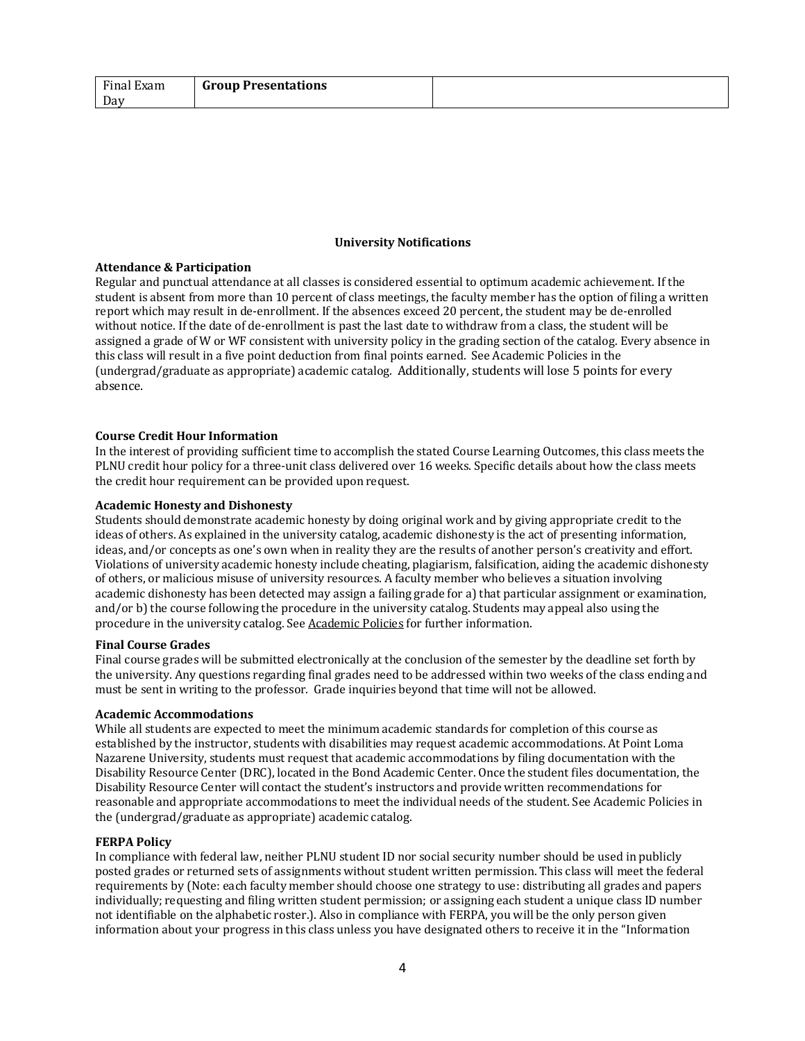| Final Exam | <b>Group Presentations</b> |  |
|------------|----------------------------|--|
| Day        |                            |  |

#### **University Notifications**

## **Attendance & Participation**

Regular and punctual attendance at all classes is considered essential to optimum academic achievement. If the student is absent from more than 10 percent of class meetings, the faculty member has the option of filing a written report which may result in de-enrollment. If the absences exceed 20 percent, the student may be de-enrolled without notice. If the date of de-enrollment is past the last date to withdraw from a class, the student will be assigned a grade of W or WF consistent with university policy in the grading section of the catalog. Every absence in this class will result in a five point deduction from final points earned. See Academic Policies in the (undergrad/graduate as appropriate) academic catalog. Additionally, students will lose 5 points for every absence.

## **Course Credit Hour Information**

In the interest of providing sufficient time to accomplish the stated Course Learning Outcomes, this class meets the PLNU credit hour policy for a three-unit class delivered over 16 weeks. Specific details about how the class meets the credit hour requirement can be provided upon request.

#### **Academic Honesty and Dishonesty**

Students should demonstrate academic honesty by doing original work and by giving appropriate credit to the ideas of others. As explained in the university catalog, academic dishonesty is the act of presenting information, ideas, and/or concepts as one's own when in reality they are the results of another person's creativity and effort. Violations of university academic honesty include cheating, plagiarism, falsification, aiding the academic dishonesty of others, or malicious misuse of university resources. A faculty member who believes a situation involving academic dishonesty has been detected may assign a failing grade for a) that particular assignment or examination, and/or b) the course following the procedure in the university catalog. Students may appeal also using the procedure in the university catalog. See Academic Policies for further information.

#### **Final Course Grades**

Final course grades will be submitted electronically at the conclusion of the semester by the deadline set forth by the university. Any questions regarding final grades need to be addressed within two weeks of the class ending and must be sent in writing to the professor. Grade inquiries beyond that time will not be allowed.

#### **Academic Accommodations**

While all students are expected to meet the minimum academic standards for completion of this course as established by the instructor, students with disabilities may request academic accommodations. At Point Loma Nazarene University, students must request that academic accommodations by filing documentation with the Disability Resource Center (DRC), located in the Bond Academic Center. Once the student files documentation, the Disability Resource Center will contact the student's instructors and provide written recommendations for reasonable and appropriate accommodations to meet the individual needs of the student. See Academic Policies in the (undergrad/graduate as appropriate) academic catalog.

#### **FERPA Policy**

In compliance with federal law, neither PLNU student ID nor social security number should be used in publicly posted grades or returned sets of assignments without student written permission. This class will meet the federal requirements by (Note: each faculty member should choose one strategy to use: distributing all grades and papers individually; requesting and filing written student permission; or assigning each student a unique class ID number not identifiable on the alphabetic roster.). Also in compliance with FERPA, you will be the only person given information about your progress in this class unless you have designated others to receive it in the "Information